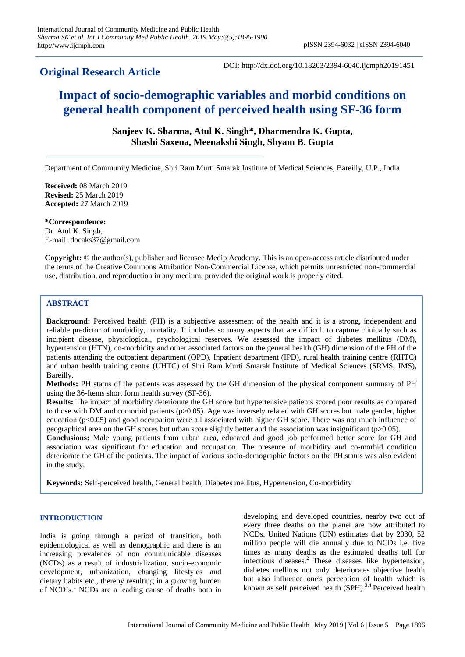**Original Research Article**

DOI: http://dx.doi.org/10.18203/2394-6040.ijcmph20191451

# **Impact of socio-demographic variables and morbid conditions on general health component of perceived health using SF-36 form**

**Sanjeev K. Sharma, Atul K. Singh\*, Dharmendra K. Gupta, Shashi Saxena, Meenakshi Singh, Shyam B. Gupta**

Department of Community Medicine, Shri Ram Murti Smarak Institute of Medical Sciences, Bareilly, U.P., India

**Received:** 08 March 2019 **Revised:** 25 March 2019 **Accepted:** 27 March 2019

**\*Correspondence:** Dr. Atul K. Singh, E-mail: docaks37@gmail.com

**Copyright:** © the author(s), publisher and licensee Medip Academy. This is an open-access article distributed under the terms of the Creative Commons Attribution Non-Commercial License, which permits unrestricted non-commercial use, distribution, and reproduction in any medium, provided the original work is properly cited.

# **ABSTRACT**

**Background:** Perceived health (PH) is a subjective assessment of the health and it is a strong, independent and reliable predictor of morbidity, mortality. It includes so many aspects that are difficult to capture clinically such as incipient disease, physiological, psychological reserves. We assessed the impact of diabetes mellitus (DM), hypertension (HTN), co-morbidity and other associated factors on the general health (GH) dimension of the PH of the patients attending the outpatient department (OPD), Inpatient department (IPD), rural health training centre (RHTC) and urban health training centre (UHTC) of Shri Ram Murti Smarak Institute of Medical Sciences (SRMS, IMS), Bareilly.

**Methods:** PH status of the patients was assessed by the GH dimension of the physical component summary of PH using the 36-Items short form health survey (SF-36).

**Results:** The impact of morbidity deteriorate the GH score but hypertensive patients scored poor results as compared to those with DM and comorbid patients (p>0.05). Age was inversely related with GH scores but male gender, higher education ( $p<0.05$ ) and good occupation were all associated with higher GH score. There was not much influence of geographical area on the GH scores but urban score slightly better and the association was insignificant (p>0.05).

**Conclusions:** Male young patients from urban area, educated and good job performed better score for GH and association was significant for education and occupation. The presence of morbidity and co-morbid condition deteriorate the GH of the patients. The impact of various socio-demographic factors on the PH status was also evident in the study.

**Keywords:** Self-perceived health, General health, Diabetes mellitus, Hypertension, Co-morbidity

## **INTRODUCTION**

India is going through a period of transition, both epidemiological as well as demographic and there is an increasing prevalence of non communicable diseases (NCDs) as a result of industrialization, socio-economic development, urbanization, changing lifestyles and dietary habits etc., thereby resulting in a growing burden of NCD's.<sup>1</sup> NCDs are a leading cause of deaths both in developing and developed countries, nearby two out of every three deaths on the planet are now attributed to NCDs. United Nations (UN) estimates that by 2030, 52 million people will die annually due to NCDs i.e. five times as many deaths as the estimated deaths toll for infectious diseases.<sup>2</sup> These diseases like hypertension, diabetes mellitus not only deteriorates objective health but also influence one's perception of health which is known as self perceived health  $(SPH).$ <sup>3,4</sup> Perceived health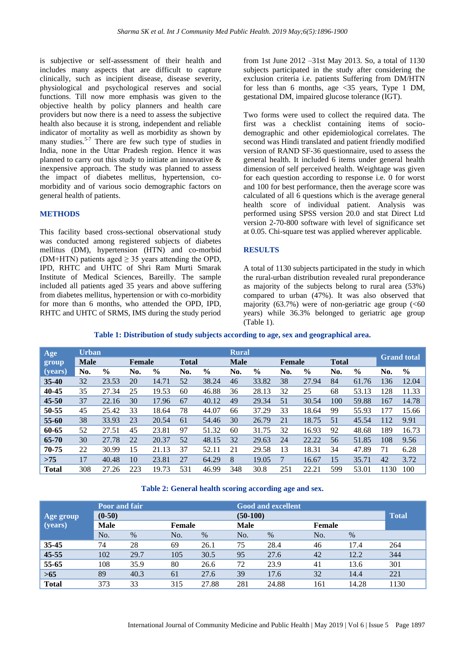is subjective or self-assessment of their health and includes many aspects that are difficult to capture clinically, such as incipient disease, disease severity, physiological and psychological reserves and social functions. Till now more emphasis was given to the objective health by policy planners and health care providers but now there is a need to assess the subjective health also because it is strong, independent and reliable indicator of mortality as well as morbidity as shown by many studies.<sup>5-7</sup> There are few such type of studies in India, none in the Uttar Pradesh region. Hence it was planned to carry out this study to initiate an innovative & inexpensive approach. The study was planned to assess the impact of diabetes mellitus, hypertension, comorbidity and of various socio demographic factors on general health of patients.

#### **METHODS**

This facility based cross-sectional observational study was conducted among registered subjects of diabetes mellitus (DM), hypertension (HTN) and co-morbid (DM+HTN) patients aged  $\geq$  35 years attending the OPD, IPD, RHTC and UHTC of Shri Ram Murti Smarak Institute of Medical Sciences, Bareilly. The sample included all patients aged 35 years and above suffering from diabetes mellitus, hypertension or with co-morbidity for more than 6 months, who attended the OPD, IPD, RHTC and UHTC of SRMS, IMS during the study period

from 1st June 2012 –31st May 2013. So, a total of 1130 subjects participated in the study after considering the exclusion criteria i.e. patients Suffering from DM/HTN for less than 6 months, age <35 years, Type 1 DM, gestational DM, impaired glucose tolerance (IGT).

Two forms were used to collect the required data. The first was a checklist containing items of sociodemographic and other epidemiological correlates. The second was Hindi translated and patient friendly modified version of RAND SF-36 questionnaire, used to assess the general health. It included 6 items under general health dimension of self perceived health. Weightage was given for each question according to response i.e. 0 for worst and 100 for best performance, then the average score was calculated of all 6 questions which is the average general health score of individual patient. Analysis was performed using SPSS version 20.0 and stat Direct Ltd version 2-70-800 software with level of significance set at 0.05. Chi-square test was applied wherever applicable.

## **RESULTS**

A total of 1130 subjects participated in the study in which the rural-urban distribution revealed rural preponderance as majority of the subjects belong to rural area (53%) compared to urban (47%). It was also observed that majority (63.7%) were of non-geriatric age group  $(< 60$ years) while 36.3% belonged to geriatric age group (Table 1).

#### **Table 1: Distribution of study subjects according to age, sex and geographical area.**

| Age          | <b>Urban</b> |               |               |               |              |               | <b>Rural</b> |       |               |               |              |               |      | <b>Grand</b> total |
|--------------|--------------|---------------|---------------|---------------|--------------|---------------|--------------|-------|---------------|---------------|--------------|---------------|------|--------------------|
| group        | <b>Male</b>  |               | <b>Female</b> |               | <b>Total</b> |               | <b>Male</b>  |       | <b>Female</b> |               | <b>Total</b> |               |      |                    |
| (years)      | No.          | $\frac{0}{0}$ | No.           | $\frac{6}{6}$ | No.          | $\frac{6}{9}$ | No.          | $\%$  | No.           | $\frac{0}{0}$ | No.          | $\frac{0}{0}$ | No.  | $\frac{0}{0}$      |
| $35 - 40$    | 32           | 23.53         | 20            | 14.71         | 52           | 38.24         | 46           | 33.82 | 38            | 27.94         | 84           | 61.76         | 136  | 12.04              |
| 40-45        | 35           | 27.34         | 25            | 19.53         | 60           | 46.88         | 36           | 28.13 | 32            | 25            | 68           | 53.13         | 128  | 11.33              |
| 45-50        | 37           | 22.16         | 30            | 17.96         | 67           | 40.12         | 49           | 29.34 | 51            | 30.54         | 100          | 59.88         | 167  | 14.78              |
| 50-55        | 45           | 25.42         | 33            | 18.64         | 78           | 44.07         | 66           | 37.29 | 33            | 18.64         | 99           | 55.93         | 177  | 15.66              |
| 55-60        | 38           | 33.93         | 23            | 20.54         | 61           | 54.46         | 30           | 26.79 | 21            | 18.75         | 51           | 45.54         | 112  | 9.91               |
| 60-65        | 52           | 27.51         | 45            | 23.81         | 97           | 51.32         | 60           | 31.75 | 32            | 16.93         | 92           | 48.68         | 189  | 16.73              |
| 65-70        | 30           | 27.78         | 22            | 20.37         | 52           | 48.15         | 32           | 29.63 | 24            | 22.22         | 56           | 51.85         | 108  | 9.56               |
| 70-75        | 22           | 30.99         | 15            | 21.13         | 37           | 52.11         | 21           | 29.58 | 13            | 18.31         | 34           | 47.89         | 71   | 6.28               |
| >75          | 17           | 40.48         | 10            | 23.81         | 27           | 64.29         | 8            | 19.05 | 7             | 16.67         | 15           | 35.71         | 42   | 3.72               |
| <b>Total</b> | 308          | 27.26         | 223           | 19.73         | 531          | 46.99         | 348          | 30.8  | 251           | 22.21         | 599          | 53.01         | 1130 | 100                |

## **Table 2: General health scoring according age and sex.**

| Age group    | <b>Poor and fair</b><br>$(0-50)$ |      |        |       | <b>Good and excellent</b><br>$(50-100)$ |       |        |       | <b>Total</b> |  |
|--------------|----------------------------------|------|--------|-------|-----------------------------------------|-------|--------|-------|--------------|--|
| (years)      | <b>Male</b>                      |      | Female |       | <b>Male</b>                             |       | Female |       |              |  |
|              | No.                              | $\%$ | No.    | %     | No.                                     | $\%$  | No.    | $\%$  |              |  |
| 35-45        | 74                               | 28   | 69     | 26.1  | 75                                      | 28.4  | 46     | 17.4  | 264          |  |
| 45-55        | 102                              | 29.7 | 105    | 30.5  | 95                                      | 27.6  | 42     | 12.2  | 344          |  |
| 55-65        | 108                              | 35.9 | 80     | 26.6  | 72                                      | 23.9  | 41     | 13.6  | 301          |  |
| $>65$        | 89                               | 40.3 | 61     | 27.6  | 39                                      | 17.6  | 32     | 14.4  | 221          |  |
| <b>Total</b> | 373                              | 33   | 315    | 27.88 | 281                                     | 24.88 | 161    | 14.28 | 1130         |  |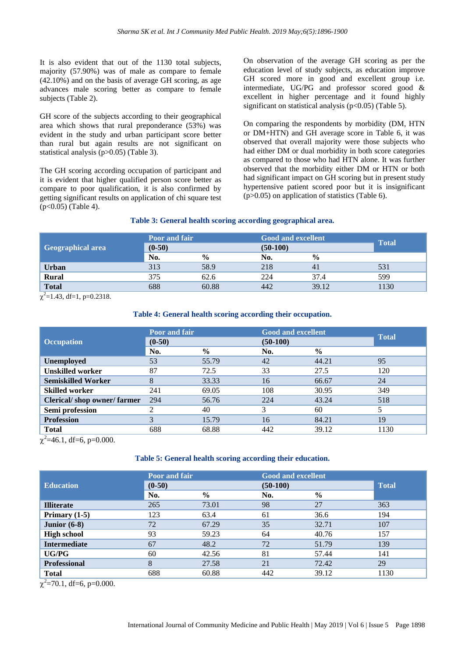It is also evident that out of the 1130 total subjects, majority (57.90%) was of male as compare to female (42.10%) and on the basis of average GH scoring, as age advances male scoring better as compare to female subjects (Table 2).

GH score of the subjects according to their geographical area which shows that rural preponderance (53%) was evident in the study and urban participant score better than rural but again results are not significant on statistical analysis (p>0.05) (Table 3).

The GH scoring according occupation of participant and it is evident that higher qualified person score better as compare to poor qualification, it is also confirmed by getting significant results on application of chi square test (p<0.05) (Table 4).

On observation of the average GH scoring as per the education level of study subjects, as education improve GH scored more in good and excellent group i.e. intermediate, UG/PG and professor scored good & excellent in higher percentage and it found highly significant on statistical analysis ( $p<0.05$ ) (Table 5).

On comparing the respondents by morbidity (DM, HTN or DM+HTN) and GH average score in Table 6, it was observed that overall majority were those subjects who had either DM or dual morbidity in both score categories as compared to those who had HTN alone. It was further observed that the morbidity either DM or HTN or both had significant impact on GH scoring but in present study hypertensive patient scored poor but it is insignificant (p>0.05) on application of statistics (Table 6).

## **Table 3: General health scoring according geographical area.**

| Geographical area | Poor and fair<br>$(0-50)$ |               | <b>Good and excellent</b><br>$(50-100)$ | <b>Total</b>  |      |
|-------------------|---------------------------|---------------|-----------------------------------------|---------------|------|
|                   | No.                       | $\frac{0}{0}$ | No.                                     | $\frac{0}{0}$ |      |
| <b>Urban</b>      | 313                       | 58.9          | 218                                     |               | 531  |
| <b>Rural</b>      | 375                       | 62.6          | 224                                     | 37.4          | 599  |
| <b>Total</b>      | 688                       | 60.88         | 442                                     | 39.12         | 1130 |

 $\chi^2$ =1.43, df=1, p=0.2318.

## **Table 4: General health scoring according their occupation.**

|                            | <b>Poor and fair</b> |               | <b>Good and excellent</b> | <b>Total</b>  |      |  |
|----------------------------|----------------------|---------------|---------------------------|---------------|------|--|
| <b>Occupation</b>          | $(0-50)$             |               | $(50-100)$                |               |      |  |
|                            | No.                  | $\frac{6}{9}$ | No.                       | $\frac{0}{0}$ |      |  |
| <b>Unemployed</b>          | 53                   | 55.79         | 42                        | 44.21         | 95   |  |
| <b>Unskilled worker</b>    | 87                   | 72.5          | 33                        | 27.5          | 120  |  |
| <b>Semiskilled Worker</b>  | 8                    | 33.33         | 16                        | 66.67         | 24   |  |
| <b>Skilled worker</b>      | 241                  | 69.05         | 108                       | 30.95         | 349  |  |
| Clerical/shop owner/farmer | 294                  | 56.76         | 224                       | 43.24         | 518  |  |
| Semi profession            |                      | 40            |                           | 60            | 5    |  |
| <b>Profession</b>          | 3                    | 15.79         | 16                        | 84.21         | 19   |  |
| <b>Total</b>               | 688                  | 68.88         | 442                       | 39.12         | 1130 |  |

 $\chi^2$ =46.1, df=6, p=0.000.

#### **Table 5: General health scoring according their education.**

|                     | <b>Poor and fair</b> |               | <b>Good and excellent</b> |               |      |
|---------------------|----------------------|---------------|---------------------------|---------------|------|
| <b>Education</b>    | $(0-50)$             |               | $(50-100)$                | <b>Total</b>  |      |
|                     | No.                  | $\frac{6}{6}$ | No.                       | $\frac{0}{0}$ |      |
| <b>Illiterate</b>   | 265                  | 73.01         | 98                        | 27            | 363  |
| Primary $(1-5)$     | 123                  | 63.4          | 61                        | 36.6          | 194  |
| Junior $(6-8)$      | 72                   | 67.29         | 35                        | 32.71         | 107  |
| <b>High school</b>  | 93                   | 59.23         | 64                        | 40.76         | 157  |
| <b>Intermediate</b> | 67                   | 48.2          | 72                        | 51.79         | 139  |
| UG/PG               | 60                   | 42.56         | 81                        | 57.44         | 141  |
| <b>Professional</b> | 8                    | 27.58         | 21                        | 72.42         | 29   |
| <b>Total</b>        | 688                  | 60.88         | 442                       | 39.12         | 1130 |

 $\chi^2$ =70.1, df=6, p=0.000.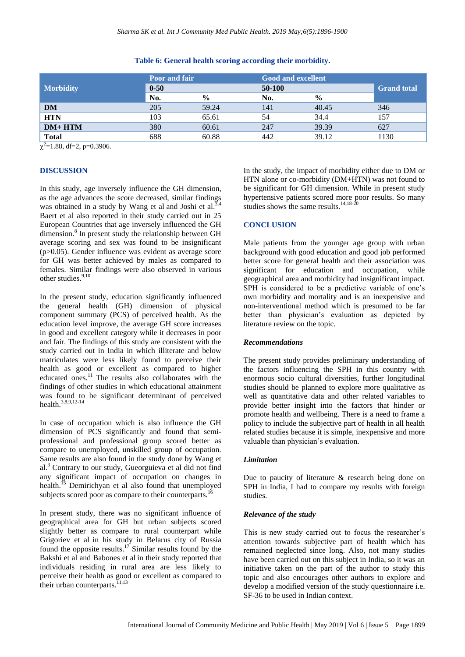|                  | <b>Poor and fair</b> |               | <b>Good and excellent</b> |               |                    |
|------------------|----------------------|---------------|---------------------------|---------------|--------------------|
| <b>Morbidity</b> | $0 - 50$             |               | 50-100                    |               | <b>Grand</b> total |
|                  | No.                  | $\frac{6}{9}$ | No.                       | $\frac{6}{6}$ |                    |
| DM               | 205                  | 59.24         | 141                       | 40.45         | 346                |
| <b>HTN</b>       | 103                  | 65.61         | 54                        | 34.4          | 157                |
| $DM+HTM$         | 380                  | 60.61         | 247                       | 39.39         | 627                |
| <b>Total</b>     | 688                  | 60.88         | 442                       | 39.12         | 1130               |

## **Table 6: General health scoring according their morbidity.**

 $\chi^2$ =1.88, df=2, p=0.3906.

## **DISCUSSION**

In this study, age inversely influence the GH dimension, as the age advances the score decreased, similar findings was obtained in a study by Wang et al and Joshi et al. $3,4$ Baert et al also reported in their study carried out in 25 European Countries that age inversely influenced the GH dimension.<sup>8</sup> In present study the relationship between GH average scoring and sex was found to be insignificant (p>0.05). Gender influence was evident as average score for GH was better achieved by males as compared to females. Similar findings were also observed in various other studies.<sup>9,10</sup>

In the present study, education significantly influenced the general health (GH) dimension of physical component summary (PCS) of perceived health. As the education level improve, the average GH score increases in good and excellent category while it decreases in poor and fair. The findings of this study are consistent with the study carried out in India in which illiterate and below matriculates were less likely found to perceive their health as good or excellent as compared to higher educated ones. $11$  The results also collaborates with the findings of other studies in which educational attainment was found to be significant determinant of perceived health.3,8,9,12-14

In case of occupation which is also influence the GH dimension of PCS significantly and found that semiprofessional and professional group scored better as compare to unemployed, unskilled group of occupation. Same results are also found in the study done by Wang et al.<sup>3</sup> Contrary to our study, Gueorguieva et al did not find any significant impact of occupation on changes in health.<sup>15</sup> Demirichyan et al also found that unemployed subjects scored poor as compare to their counterparts.<sup>1</sup>

In present study, there was no significant influence of geographical area for GH but urban subjects scored slightly better as compare to rural counterpart while Grigoriev et al in his study in Belarus city of Russia found the opposite results.<sup>17</sup> Similar results found by the Bakshi et al and Babones et al in their study reported that individuals residing in rural area are less likely to perceive their health as good or excellent as compared to their urban counterparts. $^{11,13}$ 

In the study, the impact of morbidity either due to DM or HTN alone or co-morbidity (DM+HTN) was not found to be significant for GH dimension. While in present study hypertensive patients scored more poor results. So many studies shows the same results.<sup>14,18-20</sup>

## **CONCLUSION**

Male patients from the younger age group with urban background with good education and good job performed better score for general health and their association was significant for education and occupation, while geographical area and morbidity had insignificant impact. SPH is considered to be a predictive variable of one's own morbidity and mortality and is an inexpensive and non-interventional method which is presumed to be far better than physician's evaluation as depicted by literature review on the topic.

## *Recommendations*

The present study provides preliminary understanding of the factors influencing the SPH in this country with enormous socio cultural diversities, further longitudinal studies should be planned to explore more qualitative as well as quantitative data and other related variables to provide better insight into the factors that hinder or promote health and wellbeing. There is a need to frame a policy to include the subjective part of health in all health related studies because it is simple, inexpensive and more valuable than physician's evaluation.

## *Limitation*

Due to paucity of literature & research being done on SPH in India, I had to compare my results with foreign studies.

# *Relevance of the study*

This is new study carried out to focus the researcher's attention towards subjective part of health which has remained neglected since long. Also, not many studies have been carried out on this subject in India, so it was an initiative taken on the part of the author to study this topic and also encourages other authors to explore and develop a modified version of the study questionnaire i.e. SF-36 to be used in Indian context.